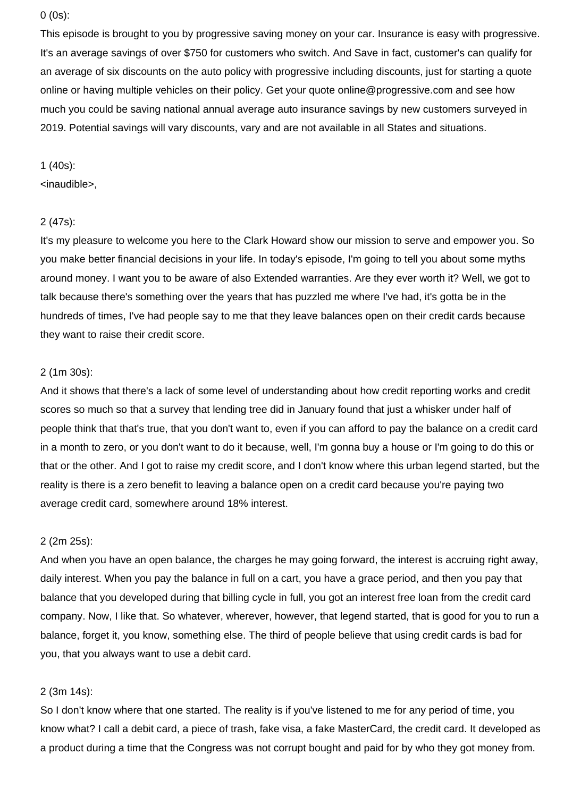## 0 (0s):

This episode is brought to you by progressive saving money on your car. Insurance is easy with progressive. It's an average savings of over \$750 for customers who switch. And Save in fact, customer's can qualify for an average of six discounts on the auto policy with progressive including discounts, just for starting a quote online or having multiple vehicles on their policy. Get your quote online@progressive.com and see how much you could be saving national annual average auto insurance savings by new customers surveyed in 2019. Potential savings will vary discounts, vary and are not available in all States and situations.

## 1 (40s):

# <inaudible>,

#### 2 (47s):

It's my pleasure to welcome you here to the Clark Howard show our mission to serve and empower you. So you make better financial decisions in your life. In today's episode, I'm going to tell you about some myths around money. I want you to be aware of also Extended warranties. Are they ever worth it? Well, we got to talk because there's something over the years that has puzzled me where I've had, it's gotta be in the hundreds of times, I've had people say to me that they leave balances open on their credit cards because they want to raise their credit score.

#### 2 (1m 30s):

And it shows that there's a lack of some level of understanding about how credit reporting works and credit scores so much so that a survey that lending tree did in January found that just a whisker under half of people think that that's true, that you don't want to, even if you can afford to pay the balance on a credit card in a month to zero, or you don't want to do it because, well, I'm gonna buy a house or I'm going to do this or that or the other. And I got to raise my credit score, and I don't know where this urban legend started, but the reality is there is a zero benefit to leaving a balance open on a credit card because you're paying two average credit card, somewhere around 18% interest.

#### 2 (2m 25s):

And when you have an open balance, the charges he may going forward, the interest is accruing right away, daily interest. When you pay the balance in full on a cart, you have a grace period, and then you pay that balance that you developed during that billing cycle in full, you got an interest free loan from the credit card company. Now, I like that. So whatever, wherever, however, that legend started, that is good for you to run a balance, forget it, you know, something else. The third of people believe that using credit cards is bad for you, that you always want to use a debit card.

## 2 (3m 14s):

So I don't know where that one started. The reality is if you've listened to me for any period of time, you know what? I call a debit card, a piece of trash, fake visa, a fake MasterCard, the credit card. It developed as a product during a time that the Congress was not corrupt bought and paid for by who they got money from.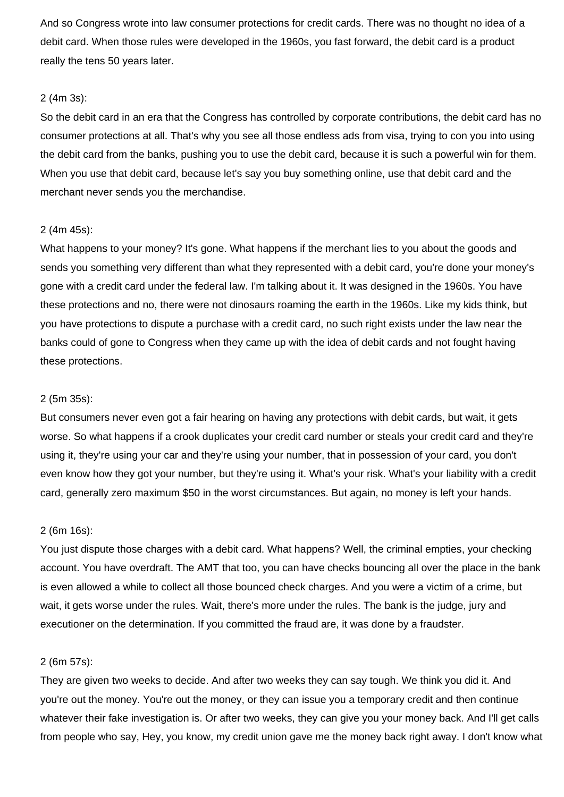And so Congress wrote into law consumer protections for credit cards. There was no thought no idea of a debit card. When those rules were developed in the 1960s, you fast forward, the debit card is a product really the tens 50 years later.

## 2 (4m 3s):

So the debit card in an era that the Congress has controlled by corporate contributions, the debit card has no consumer protections at all. That's why you see all those endless ads from visa, trying to con you into using the debit card from the banks, pushing you to use the debit card, because it is such a powerful win for them. When you use that debit card, because let's say you buy something online, use that debit card and the merchant never sends you the merchandise.

## 2 (4m 45s):

What happens to your money? It's gone. What happens if the merchant lies to you about the goods and sends you something very different than what they represented with a debit card, you're done your money's gone with a credit card under the federal law. I'm talking about it. It was designed in the 1960s. You have these protections and no, there were not dinosaurs roaming the earth in the 1960s. Like my kids think, but you have protections to dispute a purchase with a credit card, no such right exists under the law near the banks could of gone to Congress when they came up with the idea of debit cards and not fought having these protections.

## 2 (5m 35s):

But consumers never even got a fair hearing on having any protections with debit cards, but wait, it gets worse. So what happens if a crook duplicates your credit card number or steals your credit card and they're using it, they're using your car and they're using your number, that in possession of your card, you don't even know how they got your number, but they're using it. What's your risk. What's your liability with a credit card, generally zero maximum \$50 in the worst circumstances. But again, no money is left your hands.

#### 2 (6m 16s):

You just dispute those charges with a debit card. What happens? Well, the criminal empties, your checking account. You have overdraft. The AMT that too, you can have checks bouncing all over the place in the bank is even allowed a while to collect all those bounced check charges. And you were a victim of a crime, but wait, it gets worse under the rules. Wait, there's more under the rules. The bank is the judge, jury and executioner on the determination. If you committed the fraud are, it was done by a fraudster.

## 2 (6m 57s):

They are given two weeks to decide. And after two weeks they can say tough. We think you did it. And you're out the money. You're out the money, or they can issue you a temporary credit and then continue whatever their fake investigation is. Or after two weeks, they can give you your money back. And I'll get calls from people who say, Hey, you know, my credit union gave me the money back right away. I don't know what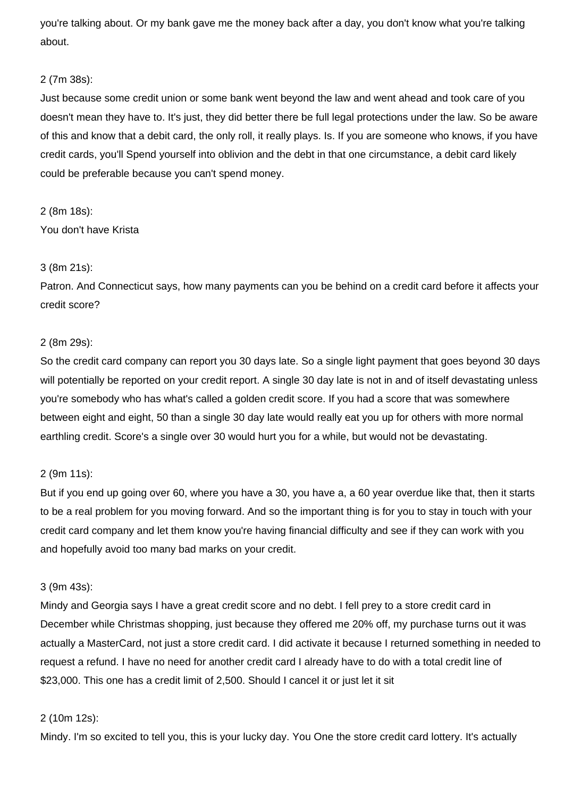you're talking about. Or my bank gave me the money back after a day, you don't know what you're talking about.

# 2 (7m 38s):

Just because some credit union or some bank went beyond the law and went ahead and took care of you doesn't mean they have to. It's just, they did better there be full legal protections under the law. So be aware of this and know that a debit card, the only roll, it really plays. Is. If you are someone who knows, if you have credit cards, you'll Spend yourself into oblivion and the debt in that one circumstance, a debit card likely could be preferable because you can't spend money.

# 2 (8m 18s):

You don't have Krista

# 3 (8m 21s):

Patron. And Connecticut says, how many payments can you be behind on a credit card before it affects your credit score?

# 2 (8m 29s):

So the credit card company can report you 30 days late. So a single light payment that goes beyond 30 days will potentially be reported on your credit report. A single 30 day late is not in and of itself devastating unless you're somebody who has what's called a golden credit score. If you had a score that was somewhere between eight and eight, 50 than a single 30 day late would really eat you up for others with more normal earthling credit. Score's a single over 30 would hurt you for a while, but would not be devastating.

# 2 (9m 11s):

But if you end up going over 60, where you have a 30, you have a, a 60 year overdue like that, then it starts to be a real problem for you moving forward. And so the important thing is for you to stay in touch with your credit card company and let them know you're having financial difficulty and see if they can work with you and hopefully avoid too many bad marks on your credit.

# 3 (9m 43s):

Mindy and Georgia says I have a great credit score and no debt. I fell prey to a store credit card in December while Christmas shopping, just because they offered me 20% off, my purchase turns out it was actually a MasterCard, not just a store credit card. I did activate it because I returned something in needed to request a refund. I have no need for another credit card I already have to do with a total credit line of \$23,000. This one has a credit limit of 2,500. Should I cancel it or just let it sit

# 2 (10m 12s):

Mindy. I'm so excited to tell you, this is your lucky day. You One the store credit card lottery. It's actually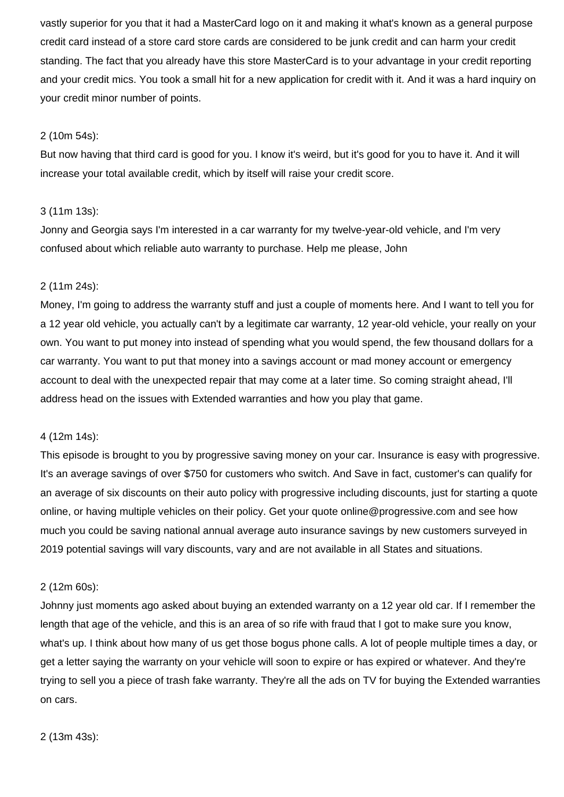vastly superior for you that it had a MasterCard logo on it and making it what's known as a general purpose credit card instead of a store card store cards are considered to be junk credit and can harm your credit standing. The fact that you already have this store MasterCard is to your advantage in your credit reporting and your credit mics. You took a small hit for a new application for credit with it. And it was a hard inquiry on your credit minor number of points.

# 2 (10m 54s):

But now having that third card is good for you. I know it's weird, but it's good for you to have it. And it will increase your total available credit, which by itself will raise your credit score.

## 3 (11m 13s):

Jonny and Georgia says I'm interested in a car warranty for my twelve-year-old vehicle, and I'm very confused about which reliable auto warranty to purchase. Help me please, John

## 2 (11m 24s):

Money, I'm going to address the warranty stuff and just a couple of moments here. And I want to tell you for a 12 year old vehicle, you actually can't by a legitimate car warranty, 12 year-old vehicle, your really on your own. You want to put money into instead of spending what you would spend, the few thousand dollars for a car warranty. You want to put that money into a savings account or mad money account or emergency account to deal with the unexpected repair that may come at a later time. So coming straight ahead, I'll address head on the issues with Extended warranties and how you play that game.

## 4 (12m 14s):

This episode is brought to you by progressive saving money on your car. Insurance is easy with progressive. It's an average savings of over \$750 for customers who switch. And Save in fact, customer's can qualify for an average of six discounts on their auto policy with progressive including discounts, just for starting a quote online, or having multiple vehicles on their policy. Get your quote online@progressive.com and see how much you could be saving national annual average auto insurance savings by new customers surveyed in 2019 potential savings will vary discounts, vary and are not available in all States and situations.

#### 2 (12m 60s):

Johnny just moments ago asked about buying an extended warranty on a 12 year old car. If I remember the length that age of the vehicle, and this is an area of so rife with fraud that I got to make sure you know, what's up. I think about how many of us get those bogus phone calls. A lot of people multiple times a day, or get a letter saying the warranty on your vehicle will soon to expire or has expired or whatever. And they're trying to sell you a piece of trash fake warranty. They're all the ads on TV for buying the Extended warranties on cars.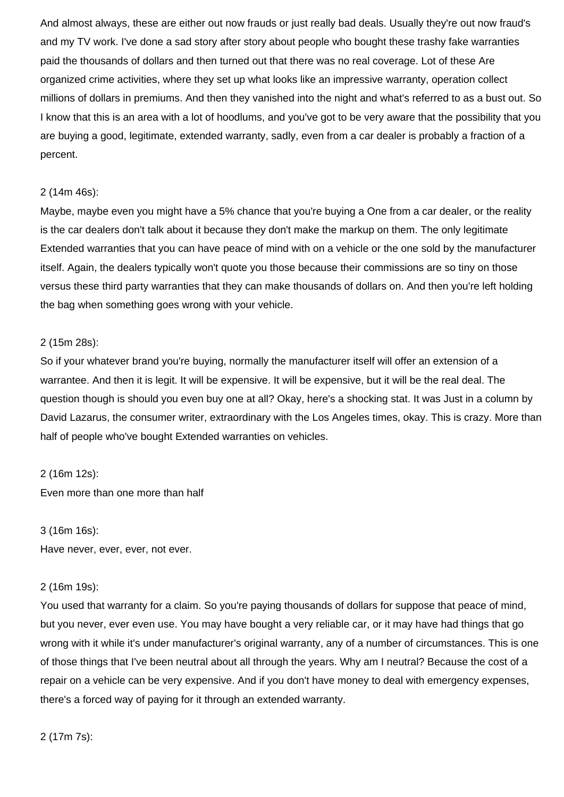And almost always, these are either out now frauds or just really bad deals. Usually they're out now fraud's and my TV work. I've done a sad story after story about people who bought these trashy fake warranties paid the thousands of dollars and then turned out that there was no real coverage. Lot of these Are organized crime activities, where they set up what looks like an impressive warranty, operation collect millions of dollars in premiums. And then they vanished into the night and what's referred to as a bust out. So I know that this is an area with a lot of hoodlums, and you've got to be very aware that the possibility that you are buying a good, legitimate, extended warranty, sadly, even from a car dealer is probably a fraction of a percent.

## 2 (14m 46s):

Maybe, maybe even you might have a 5% chance that you're buying a One from a car dealer, or the reality is the car dealers don't talk about it because they don't make the markup on them. The only legitimate Extended warranties that you can have peace of mind with on a vehicle or the one sold by the manufacturer itself. Again, the dealers typically won't quote you those because their commissions are so tiny on those versus these third party warranties that they can make thousands of dollars on. And then you're left holding the bag when something goes wrong with your vehicle.

# 2 (15m 28s):

So if your whatever brand you're buying, normally the manufacturer itself will offer an extension of a warrantee. And then it is legit. It will be expensive. It will be expensive, but it will be the real deal. The question though is should you even buy one at all? Okay, here's a shocking stat. It was Just in a column by David Lazarus, the consumer writer, extraordinary with the Los Angeles times, okay. This is crazy. More than half of people who've bought Extended warranties on vehicles.

#### 2 (16m 12s):

Even more than one more than half

#### 3 (16m 16s):

Have never, ever, ever, not ever.

#### 2 (16m 19s):

You used that warranty for a claim. So you're paying thousands of dollars for suppose that peace of mind, but you never, ever even use. You may have bought a very reliable car, or it may have had things that go wrong with it while it's under manufacturer's original warranty, any of a number of circumstances. This is one of those things that I've been neutral about all through the years. Why am I neutral? Because the cost of a repair on a vehicle can be very expensive. And if you don't have money to deal with emergency expenses, there's a forced way of paying for it through an extended warranty.

2 (17m 7s):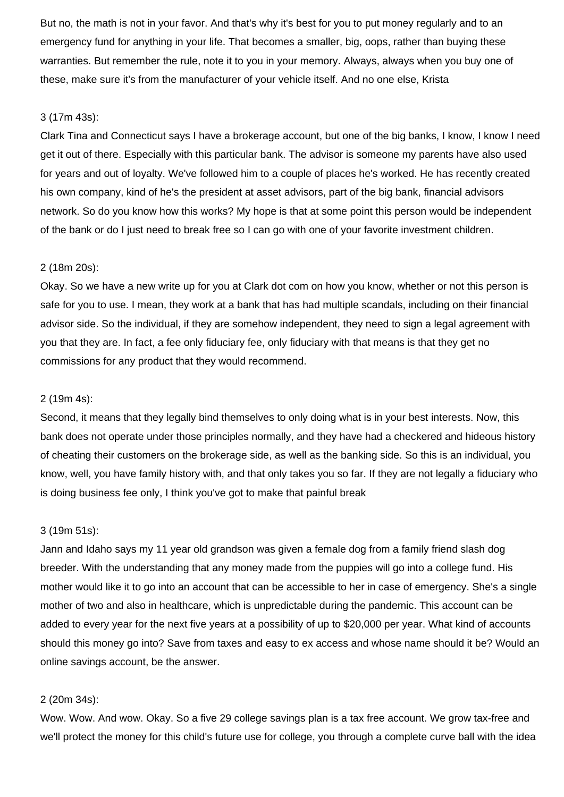But no, the math is not in your favor. And that's why it's best for you to put money regularly and to an emergency fund for anything in your life. That becomes a smaller, big, oops, rather than buying these warranties. But remember the rule, note it to you in your memory. Always, always when you buy one of these, make sure it's from the manufacturer of your vehicle itself. And no one else, Krista

#### 3 (17m 43s):

Clark Tina and Connecticut says I have a brokerage account, but one of the big banks, I know, I know I need get it out of there. Especially with this particular bank. The advisor is someone my parents have also used for years and out of loyalty. We've followed him to a couple of places he's worked. He has recently created his own company, kind of he's the president at asset advisors, part of the big bank, financial advisors network. So do you know how this works? My hope is that at some point this person would be independent of the bank or do I just need to break free so I can go with one of your favorite investment children.

## 2 (18m 20s):

Okay. So we have a new write up for you at Clark dot com on how you know, whether or not this person is safe for you to use. I mean, they work at a bank that has had multiple scandals, including on their financial advisor side. So the individual, if they are somehow independent, they need to sign a legal agreement with you that they are. In fact, a fee only fiduciary fee, only fiduciary with that means is that they get no commissions for any product that they would recommend.

## 2 (19m 4s):

Second, it means that they legally bind themselves to only doing what is in your best interests. Now, this bank does not operate under those principles normally, and they have had a checkered and hideous history of cheating their customers on the brokerage side, as well as the banking side. So this is an individual, you know, well, you have family history with, and that only takes you so far. If they are not legally a fiduciary who is doing business fee only, I think you've got to make that painful break

#### 3 (19m 51s):

Jann and Idaho says my 11 year old grandson was given a female dog from a family friend slash dog breeder. With the understanding that any money made from the puppies will go into a college fund. His mother would like it to go into an account that can be accessible to her in case of emergency. She's a single mother of two and also in healthcare, which is unpredictable during the pandemic. This account can be added to every year for the next five years at a possibility of up to \$20,000 per year. What kind of accounts should this money go into? Save from taxes and easy to ex access and whose name should it be? Would an online savings account, be the answer.

## 2 (20m 34s):

Wow. Wow. And wow. Okay. So a five 29 college savings plan is a tax free account. We grow tax-free and we'll protect the money for this child's future use for college, you through a complete curve ball with the idea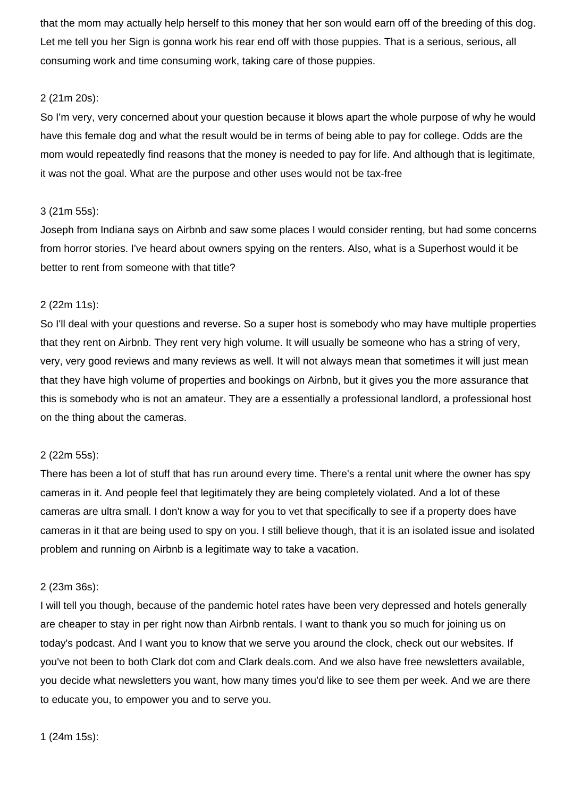that the mom may actually help herself to this money that her son would earn off of the breeding of this dog. Let me tell you her Sign is gonna work his rear end off with those puppies. That is a serious, serious, all consuming work and time consuming work, taking care of those puppies.

# 2 (21m 20s):

So I'm very, very concerned about your question because it blows apart the whole purpose of why he would have this female dog and what the result would be in terms of being able to pay for college. Odds are the mom would repeatedly find reasons that the money is needed to pay for life. And although that is legitimate, it was not the goal. What are the purpose and other uses would not be tax-free

# 3 (21m 55s):

Joseph from Indiana says on Airbnb and saw some places I would consider renting, but had some concerns from horror stories. I've heard about owners spying on the renters. Also, what is a Superhost would it be better to rent from someone with that title?

# 2 (22m 11s):

So I'll deal with your questions and reverse. So a super host is somebody who may have multiple properties that they rent on Airbnb. They rent very high volume. It will usually be someone who has a string of very, very, very good reviews and many reviews as well. It will not always mean that sometimes it will just mean that they have high volume of properties and bookings on Airbnb, but it gives you the more assurance that this is somebody who is not an amateur. They are a essentially a professional landlord, a professional host on the thing about the cameras.

# 2 (22m 55s):

There has been a lot of stuff that has run around every time. There's a rental unit where the owner has spy cameras in it. And people feel that legitimately they are being completely violated. And a lot of these cameras are ultra small. I don't know a way for you to vet that specifically to see if a property does have cameras in it that are being used to spy on you. I still believe though, that it is an isolated issue and isolated problem and running on Airbnb is a legitimate way to take a vacation.

# 2 (23m 36s):

I will tell you though, because of the pandemic hotel rates have been very depressed and hotels generally are cheaper to stay in per right now than Airbnb rentals. I want to thank you so much for joining us on today's podcast. And I want you to know that we serve you around the clock, check out our websites. If you've not been to both Clark dot com and Clark deals.com. And we also have free newsletters available, you decide what newsletters you want, how many times you'd like to see them per week. And we are there to educate you, to empower you and to serve you.

1 (24m 15s):